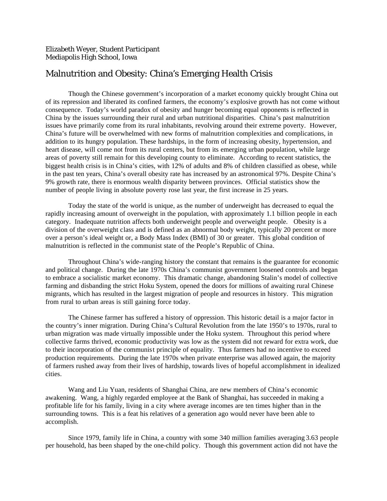## Malnutrition and Obesity: China's Emerging Health Crisis

Though the Chinese government's incorporation of a market economy quickly brought China out of its repression and liberated its confined farmers, the economy's explosive growth has not come without consequence. Today's world paradox of obesity and hunger becoming equal opponents is reflected in China by the issues surrounding their rural and urban nutritional disparities. China's past malnutrition issues have primarily come from its rural inhabitants, revolving around their extreme poverty. However, China's future will be overwhelmed with new forms of malnutrition complexities and complications, in addition to its hungry population. These hardships, in the form of increasing obesity, hypertension, and heart disease, will come not from its rural centers, but from its emerging urban population, while large areas of poverty still remain for this developing county to eliminate. According to recent statistics, the biggest health crisis is in China's cities, with 12% of adults and 8% of children classified as obese, while in the past ten years, China's overall obesity rate has increased by an astronomical 97%. Despite China's 9% growth rate, there is enormous wealth disparity between provinces. Official statistics show the number of people living in absolute poverty rose last year, the first increase in 25 years.

Today the state of the world is unique, as the number of underweight has decreased to equal the rapidly increasing amount of overweight in the population, with approximately 1.1 billion people in each category. Inadequate nutrition affects both underweight people and overweight people. Obesity is a division of the overweight class and is defined as an abnormal body weight, typically 20 percent or more over a person's ideal weight or, a Body Mass Index (BMI) of 30 or greater. This global condition of malnutrition is reflected in the communist state of the People's Republic of China.

Throughout China's wide-ranging history the constant that remains is the guarantee for economic and political change. During the late 1970s China's communist government loosened controls and began to embrace a socialistic market economy. This dramatic change, abandoning Stalin's model of collective farming and disbanding the strict Hoku System, opened the doors for millions of awaiting rural Chinese migrants, which has resulted in the largest migration of people and resources in history. This migration from rural to urban areas is still gaining force today.

The Chinese farmer has suffered a history of oppression. This historic detail is a major factor in the country's inner migration. During China's Cultural Revolution from the late 1950's to 1970s, rural to urban migration was made virtually impossible under the Hoku system. Throughout this period where collective farms thrived, economic productivity was low as the system did not reward for extra work, due to their incorporation of the communist principle of equality. Thus farmers had no incentive to exceed production requirements. During the late 1970s when private enterprise was allowed again, the majority of farmers rushed away from their lives of hardship, towards lives of hopeful accomplishment in idealized cities.

Wang and Liu Yuan, residents of Shanghai China, are new members of China's economic awakening. Wang, a highly regarded employee at the Bank of Shanghai, has succeeded in making a profitable life for his family, living in a city where average incomes are ten times higher than in the surrounding towns. This is a feat his relatives of a generation ago would never have been able to accomplish.

Since 1979, family life in China, a country with some 340 million families averaging 3.63 people per household, has been shaped by the one-child policy. Though this government action did not have the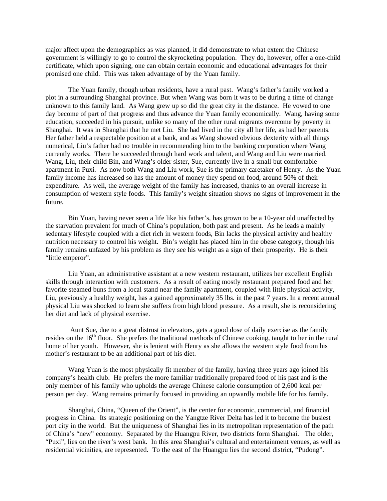major affect upon the demographics as was planned, it did demonstrate to what extent the Chinese government is willingly to go to control the skyrocketing population. They do, however, offer a one-child certificate, which upon signing, one can obtain certain economic and educational advantages for their promised one child. This was taken advantage of by the Yuan family.

The Yuan family, though urban residents, have a rural past. Wang's father's family worked a plot in a surrounding Shanghai province. But when Wang was born it was to be during a time of change unknown to this family land. As Wang grew up so did the great city in the distance. He vowed to one day become of part of that progress and thus advance the Yuan family economically. Wang, having some education, succeeded in his pursuit, unlike so many of the other rural migrants overcome by poverty in Shanghai. It was in Shanghai that he met Liu. She had lived in the city all her life, as had her parents. Her father held a respectable position at a bank, and as Wang showed obvious dexterity with all things numerical, Liu's father had no trouble in recommending him to the banking corporation where Wang currently works. There he succeeded through hard work and talent, and Wang and Liu were married. Wang, Liu, their child Bin, and Wang's older sister, Sue, currently live in a small but comfortable apartment in Puxi. As now both Wang and Liu work, Sue is the primary caretaker of Henry. As the Yuan family income has increased so has the amount of money they spend on food, around 50% of their expenditure. As well, the average weight of the family has increased, thanks to an overall increase in consumption of western style foods. This family's weight situation shows no signs of improvement in the future.

Bin Yuan, having never seen a life like his father's, has grown to be a 10-year old unaffected by the starvation prevalent for much of China's population, both past and present. As he leads a mainly sedentary lifestyle coupled with a diet rich in western foods, Bin lacks the physical activity and healthy nutrition necessary to control his weight. Bin's weight has placed him in the obese category, though his family remains unfazed by his problem as they see his weight as a sign of their prosperity. He is their "little emperor".

Liu Yuan, an administrative assistant at a new western restaurant, utilizes her excellent English skills through interaction with customers. As a result of eating mostly restaurant prepared food and her favorite steamed buns from a local stand near the family apartment, coupled with little physical activity, Liu, previously a healthy weight, has a gained approximately 35 lbs. in the past 7 years. In a recent annual physical Liu was shocked to learn she suffers from high blood pressure. As a result, she is reconsidering her diet and lack of physical exercise.

 Aunt Sue, due to a great distrust in elevators, gets a good dose of daily exercise as the family resides on the 16<sup>th</sup> floor. She prefers the traditional methods of Chinese cooking, taught to her in the rural home of her youth. However, she is lenient with Henry as she allows the western style food from his mother's restaurant to be an additional part of his diet.

Wang Yuan is the most physically fit member of the family, having three years ago joined his company's health club. He prefers the more familiar traditionally prepared food of his past and is the only member of his family who upholds the average Chinese calorie consumption of 2,600 kcal per person per day. Wang remains primarily focused in providing an upwardly mobile life for his family.

Shanghai, China, "Queen of the Orient", is the center for economic, commercial, and financial progress in China. Its strategic positioning on the Yangtze River Delta has led it to become the busiest port city in the world. But the uniqueness of Shanghai lies in its metropolitan representation of the path of China's "new" economy. Separated by the Huangpu River, two districts form Shanghai. The older, "Puxi", lies on the river's west bank. In this area Shanghai's cultural and entertainment venues, as well as residential vicinities, are represented. To the east of the Huangpu lies the second district, "Pudong".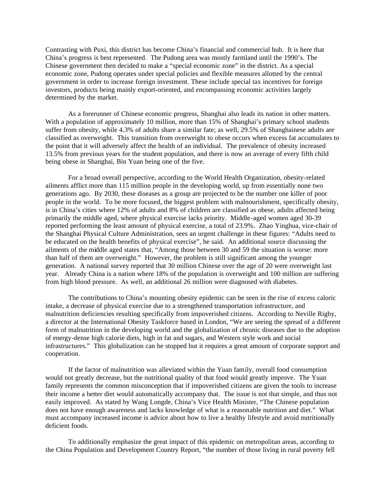Contrasting with Puxi, this district has become China's financial and commercial hub. It is here that China's progress is best represented. The Pudong area was mostly farmland until the 1990's. The Chinese government then decided to make a "special economic zone" in the district. As a special economic zone, Pudong operates under special policies and flexible measures allotted by the central government in order to increase foreign investment. These include special tax incentives for foreign investors, products being mainly export-oriented, and encompassing economic activities largely determined by the market.

As a forerunner of Chinese economic progress, Shanghai also leads its nation in other matters. With a population of approximately 10 million, more than 15% of Shanghai's primary school students suffer from obesity, while 4.3% of adults share a similar fate; as well, 29.5% of Shanghainese adults are classified as overweight. This transition from overweight to obese occurs when excess fat accumulates to the point that it will adversely affect the health of an individual. The prevalence of obesity increased 13.5% from previous years for the student population, and there is now an average of every fifth child being obese in Shanghai, Bin Yuan being one of the five.

For a broad overall perspective, according to the World Health Organization, obesity-related ailments afflict more than 115 million people in the developing world, up from essentially none two generations ago. By 2030, these diseases as a group are projected to be the number one killer of poor people in the world. To be more focused, the biggest problem with malnourishment, specifically obesity, is in China's cities where 12% of adults and 8% of children are classified as obese, adults affected being primarily the middle aged, where physical exercise lacks priority. Middle -aged women aged 30-39 reported performing the least amount of physical exercise, a total of 23.9%. Zhao Yinghua, vice-chair of the Shanghai Physical Culture Administration, sees an urgent challenge in these figures: "Adults need to be educated on the health benefits of physical exercise", he said. An additional source discussing the ailments of the middle aged states that, "Among those between 30 and 59 the situation is worse: more than half of them are overweight." However, the problem is still significant among the younger generation. A national survey reported that 30 million Chinese over the age of 20 were overweight last year. Already China is a nation where 18% of the population is overweight and 100 million are suffering from high blood pressure. As well, an additional 26 million were diagnosed with diabetes.

The contributions to China's mounting obesity epidemic can be seen in the rise of excess caloric intake, a decrease of physical exercise due to a strengthened transportation infrastructure, and malnutrition deficiencies resulting specifically from impoverished citizens. According to Neville Rigby, a director at the International Obesity Taskforce based in London, "We are seeing the spread of a different form of malnutrition in the developing world and the globalization of chronic diseases due to the adoption of energy-dense high calorie diets, high in fat and sugars, and Western style work and social infrastructures." This globalization can be stopped but it requires a great amount of corporate support and cooperation.

If the factor of malnutrition was alleviated within the Yuan family, overall food consumption would not greatly decrease, but the nutritional quality of that food would greatly improve. The Yuan family represents the common misconception that if impoverished citizens are given the tools to increase their income a better diet would automatically accompany that. The issue is not that simple, and thus not easily improved. As stated by Wang Longde, China's Vice Health Minister, "The Chinese population does not have enough awareness and lacks knowledge of what is a reasonable nutrition and diet." What must accompany increased income is advice about how to live a healthy lifestyle and avoid nutritionally deficient foods.

To additionally emphasize the great impact of this epidemic on metropolitan areas, according to the China Population and Development Country Report, "the number of those living in rural poverty fell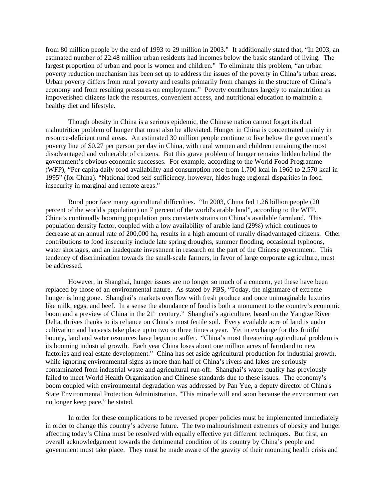from 80 million people by the end of 1993 to 29 million in 2003." It additionally stated that, "In 2003, an estimated number of 22.48 million urban residents had incomes below the basic standard of living. The largest proportion of urban and poor is women and children." To eliminate this problem, "an urban poverty reduction mechanism has been set up to address the issues of the poverty in China's urban areas. Urban poverty differs from rural poverty and results primarily from changes in the structure of China's economy and from resulting pressures on employment." Poverty contributes largely to malnutrition as impoverished citizens lack the resources, convenient access, and nutritional education to maintain a healthy diet and lifestyle.

Though obesity in China is a serious epidemic, the Chinese nation cannot forget its dual malnutrition problem of hunger that must also be alleviated. Hunger in China is concentrated mainly in resource-deficient rural areas. An estimated 30 million people continue to live below the government's poverty line of \$0.27 per person per day in China, with rural women and children remaining the most disadvantaged and vulnerable of citizens. But this grave problem of hunger remains hidden behind the government's obvious economic successes. For example, according to the World Food Programme (WFP), "Per capita daily food availability and consumption rose from 1,700 kcal in 1960 to 2,570 kcal in 1995" (for China). "National food self-sufficiency, however, hides huge regional disparities in food insecurity in marginal and remote areas."

Rural poor face many agricultural difficulties. "In 2003, China fed 1.26 billion people (20 percent of the world's population) on 7 percent of the world's arable land", according to the WFP. China's continually booming population puts constants strains on China's available farmland. This population density factor, coupled with a low availability of arable land (29%) which continues to decrease at an annual rate of 200,000 ha, results in a high amount of rurally disadvantaged citizens. Other contributions to food insecurity include late spring droughts, summer flooding, occasional typhoons, water shortages, and an inadequate investment in research on the part of the Chinese government. This tendency of discrimination towards the small-scale farmers, in favor of large corporate agriculture, must be addressed.

However, in Shanghai, hunger issues are no longer so much of a concern, yet these have been replaced by those of an environmental nature. As stated by PBS, "Today, the nightmare of extreme hunger is long gone. Shanghai's markets overflow with fresh produce and once unimaginable luxuries like milk, eggs, and beef. In a sense the abundance of food is both a monument to the country's economic boom and a preview of China in the 21<sup>st</sup> century." Shanghai's agriculture, based on the Yangtze River Delta, thrives thanks to its reliance on China's most fertile soil. Every available acre of land is under cultivation and harvests take place up to two or three times a year. Yet in exchange for this fruitful bounty, land and water resources have begun to suffer. "China's most threatening agricultural problem is its booming industrial growth. Each year China loses about one million acres of farmland to new factories and real estate development." China has set aside agricultural production for industrial growth, while ignoring environmental signs as more than half of China's rivers and lakes are seriously contaminated from industrial waste and agricultural run-off. Shanghai's water quality has previously failed to meet World Health Organization and Chinese standards due to these issues. The economy's boom coupled with environmental degradation was addressed by Pan Yue, a deputy director of China's State Environmental Protection Administration. "This miracle will end soon because the environment can no longer keep pace," he stated.

In order for these complications to be reversed proper policies must be implemented immediately in order to change this country's adverse future. The two malnourishment extremes of obesity and hunger affecting today's China must be resolved with equally effective yet different techniques. But first, an overall acknowledgement towards the detrimental condition of its country by China's people and government must take place. They must be made aware of the gravity of their mounting health crisis and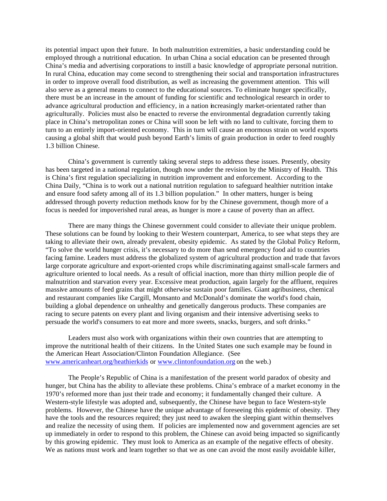its potential impact upon their future. In both malnutrition extremities, a basic understanding could be employed through a nutritional education. In urban China a social education can be presented through China's media and advertising corporations to instill a basic knowledge of appropriate personal nutrition. In rural China, education may come second to strengthening their social and transportation infrastructures in order to improve overall food distribution, as well as increasing the government attention. This will also serve as a general means to connect to the educational sources. To eliminate hunger specifically, there must be an increase in the amount of funding for scientific and technological research in order to advance agricultural production and efficiency, in a nation increasingly market-orientated rather than agriculturally. Policies must also be enacted to reverse the environmental degradation currently taking place in China's metropolitan zones or China will soon be left with no land to cultivate, forcing them to turn to an entirely import-oriented economy. This in turn will cause an enormous strain on world exports causing a global shift that would push beyond Earth's limits of grain production in order to feed roughly 1.3 billion Chinese.

China's government is currently taking several steps to address these issues. Presently, obesity has been targeted in a national regulation, though now under the revision by the Ministry of Health. This is China's first regulation specializing in nutrition improvement and enforcement. According to the China Daily, "China is to work out a national nutrition regulation to safeguard healthier nutrition intake and ensure food safety among all of its 1.3 billion population." In other matters, hunger is being addressed through poverty reduction methods know for by the Chinese government, though more of a focus is needed for impoverished rural areas, as hunger is more a cause of poverty than an affect.

There are many things the Chinese government could consider to alleviate their unique problem. These solutions can be found by looking to their Western counterpart, America, to see what steps they are taking to alleviate their own, already prevalent, obesity epidemic. As stated by the Global Policy Reform, "To solve the world hunger crisis, it's necessary to do more than send emergency food aid to countries facing famine. Leaders must address the globalized system of agricultural production and trade that favors large corporate agriculture and export-oriented crops while discriminating against small-scale farmers and agriculture oriented to local needs. As a result of official inaction, more than thirty million people die of malnutrition and starvation every year. Excessive meat production, again largely for the affluent, requires massive amounts of feed grains that might otherwise sustain poor families. Giant agribusiness, chemical and restaurant companies like Cargill, Monsanto and McDonald's dominate the world's food chain, building a global dependence on unhealthy and genetically dangerous products. These companies are racing to secure patents on every plant and living organism and their intensive advertising seeks to persuade the world's consumers to eat more and more sweets, snacks, burgers, and soft drinks."

Leaders must also work with organizations within their own countries that are attempting to improve the nutritional health of their citizens. In the United States one such example may be found in the American Heart Association/Clinton Foundation Allegiance. (See www.americanheart.org/heathierkids or www.clintonfoundation.org on the web.)

The People's Republic of China is a manifestation of the present world paradox of obesity and hunger, but China has the ability to alleviate these problems. China's embrace of a market economy in the 1970's reformed more than just their trade and economy; it fundamentally changed their culture. A Western-style lifestyle was adopted and, subsequently, the Chinese have begun to face Western-style problems. However, the Chinese have the unique advantage of foreseeing this epidemic of obesity. They have the tools and the resources required; they just need to awaken the sleeping giant within themselves and realize the necessity of using them. If policies are implemented now and government agencies are set up immediately in order to respond to this problem, the Chinese can avoid being impacted so significantly by this growing epidemic. They must look to America as an example of the negative effects of obesity. We as nations must work and learn together so that we as one can avoid the most easily avoidable killer,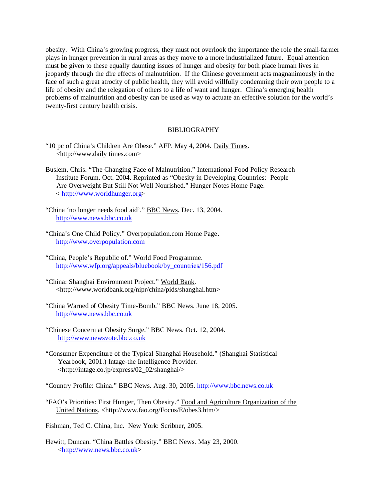obesity. With China's growing progress, they must not overlook the importance the role the small-farmer plays in hunger prevention in rural areas as they move to a more industrialized future. Equal attention must be given to these equally daunting issues of hunger and obesity for both place human lives in jeopardy through the dire effects of malnutrition. If the Chinese government acts magnanimously in the face of such a great atrocity of public health, they will avoid willfully condemning their own people to a life of obesity and the relegation of others to a life of want and hunger. China's emerging health problems of malnutrition and obesity can be used as way to actuate an effective solution for the world's twenty-first century health crisis.

## **BIBLIOGRAPHY**

- "10 pc of China's Children Are Obese." AFP. May 4, 2004. Daily Times. <http://www.daily times.com>
- Buslem, Chris. "The Changing Face of Malnutrition." International Food Policy Research Institute Forum. Oct. 2004. Reprinted as "Obesity in Developing Countries: People Are Overweight But Still Not Well Nourished." Hunger Notes Home Page. < http://www.worldhunger.org>
- "China 'no longer needs food aid'." **BBC News. Dec. 13, 2004.** http://www.news.bbc.co.uk
- "China's One Child Policy." Overpopulation.com Home Page. http://www.overpopulation.com
- "China, People's Republic of." World Food Programme. http://www.wfp.org/appeals/bluebook/by\_countries/156.pdf
- "China: Shanghai Environment Project." World Bank. <http://www.worldbank.org/nipr/china/pids/shanghai.htm>
- "China Warned of Obesity Time-Bomb." BBC News. June 18, 2005. http://www.news.bbc.co.uk
- "Chinese Concern at Obesity Surge." BBC News. Oct. 12, 2004. http://www.newsvote.bbc.co.uk
- "Consumer Expenditure of the Typical Shanghai Household." (Shanghai Statistical Yearbook, 2001.) Intage-the Intelligence Provider. <http://intage.co.jp/express/02\_02/shanghai/>

"Country Profile: China." BBC News. Aug. 30, 2005. http://www.bbc.news.co.uk

"FAO's Priorities: First Hunger, Then Obesity." Food and Agriculture Organization of the United Nations. <http://www.fao.org/Focus/E/obes3.htm/>

Fishman, Ted C. China, Inc. New York: Scribner, 2005.

Hewitt, Duncan. "China Battles Obesity." BBC News. May 23, 2000. <http://www.news.bbc.co.uk>